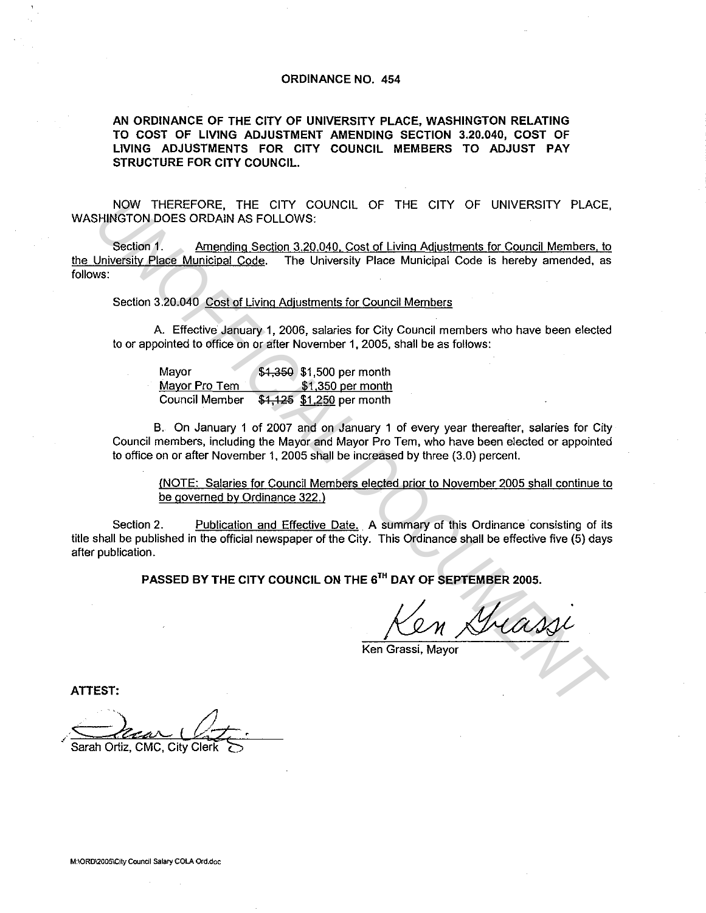## **ORDINANCE NO. 454**

**AN ORDINANCE OF THE CITY OF UNIVERSITY PLACE, WASHINGTON RELATING TO COST OF LIVING ADJUSTMENT AMENDING SECTION 3.20.040, COST OF LIVING ADJUSTMENTS FOR CITY COUNCIL MEMBERS TO ADJUST PAY STRUCTURE FOR CITY COUNCIL.** 

NOW THEREFORE, THE CITY COUNCIL OF THE CITY OF UNIVERSITY PLACE, WASHINGTON DOES ORDAIN AS FOLLOWS:

Section 1. Amending Section 3.20.040, Cost of Living Adjustments for Council Members, to the University Place Municioal Code. The University Place Municipal Code is hereby amended, as follows: Now THEREFORE, THE CITY COUNCIL OF THE CITY OF UNIVERSITY PLACE<br>
HINGTON DOES ORDAIN AS FOLLOWS:<br>
Section 1. Amending section 3.20.040. Cost of Living Adjustments for Council Members, to<br>
Weight Place Municipal Code. The U

Section 3.20.040 Cost of Living Adjustments for Council Members

A. Effective January 1, 2006, salaries for City Council members who have been elected to or appointed to office on or after November 1, 2005, shall be as follows:

| Mayor          | \$1,350 \$1,500 per month |
|----------------|---------------------------|
| Mayor Pro Tem  | \$1,350 per month         |
| Council Member | \$1,125 \$1,250 per month |

B. On January 1 of 2007 and on January 1 of every year thereafter, salaries for City Council members, including the Mayor and Mayor Pro Tern, who have been elected or appointed to office on or after November 1, 2005 shall be increased by three (3.0) percent.

(NOTE: Salaries for Council Members elected prior to November 2005 shall continue to be governed by Ordinance 322.)

Section 2. Publication and Effective Date. A summary of this Ordinance consisting of its title shall be published in the official newspaper of the City. This Ordinance shall be effective five (5) days after publication.

**PASSED BY THE CITY COUNCIL ON THE 6™ DAY OF SEPTEMBER 2005.** 

Ken Grassi, Mayor

**ATTEST:** 

.

Sarah Ortiz, CMC, City Clerk